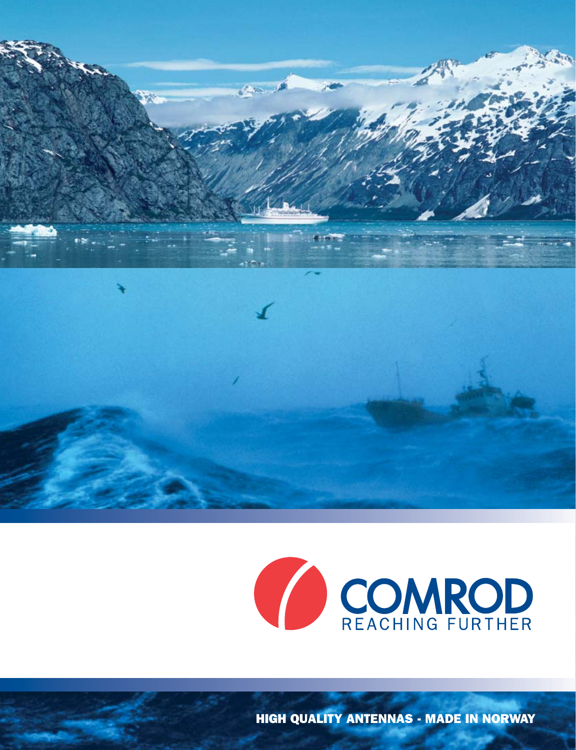



HIGH QUALITY ANTENNAS - MADE IN NORWAY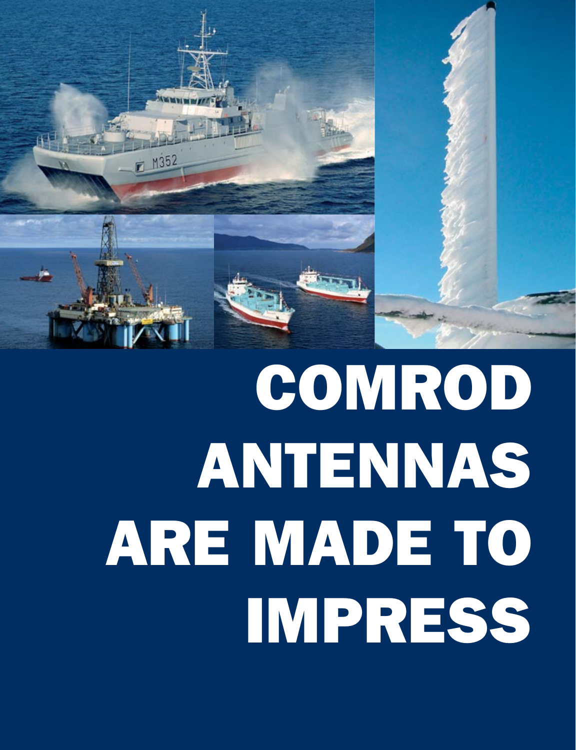

# COMROD ANTENNAS ARE MADE TO IMPRESS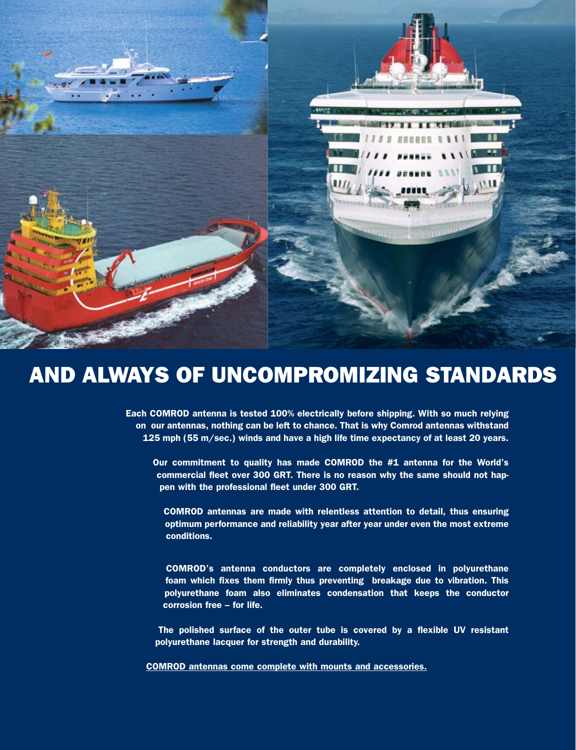| $\blacksquare$<br><b><i>BERBER B B B E E</i></b><br><b>AMI</b>                                                 |  |
|----------------------------------------------------------------------------------------------------------------|--|
| THE WILLIE FRAME RAILER<br>THE CHINA PERSONAL PROPERTY OF THE A<br>III <sub>1</sub><br><b>SALES AND STREET</b> |  |
| <b>AMP2</b>                                                                                                    |  |
|                                                                                                                |  |
|                                                                                                                |  |
|                                                                                                                |  |
|                                                                                                                |  |

### AND ALWAYS OF UNCOMPROMIZING STANDARDS

Each COMROD antenna is tested 100% electrically before shipping. With so much relying on our antennas, nothing can be left to chance. That is why Comrod antennas withstand 125 mph (55 m/sec.) winds and have a high life time expectancy of at least 20 years.

Our commitment to quality has made COMROD the #1 antenna for the World's commercial fleet over 300 GRT. There is no reason why the same should not happen with the professional fleet under 300 GRT.

COMROD antennas are made with relentless attention to detail, thus ensuring optimum performance and reliability year after year under even the most extreme conditions.

COMROD's antenna conductors are completely enclosed in polyurethane foam which fixes them firmly thus preventing breakage due to vibration. This polyurethane foam also eliminates condensation that keeps the conductor corrosion free – for life.

The polished surface of the outer tube is covered by a flexible UV resistant polyurethane lacquer for strength and durability.

COMROD antennas come complete with mounts and accessories.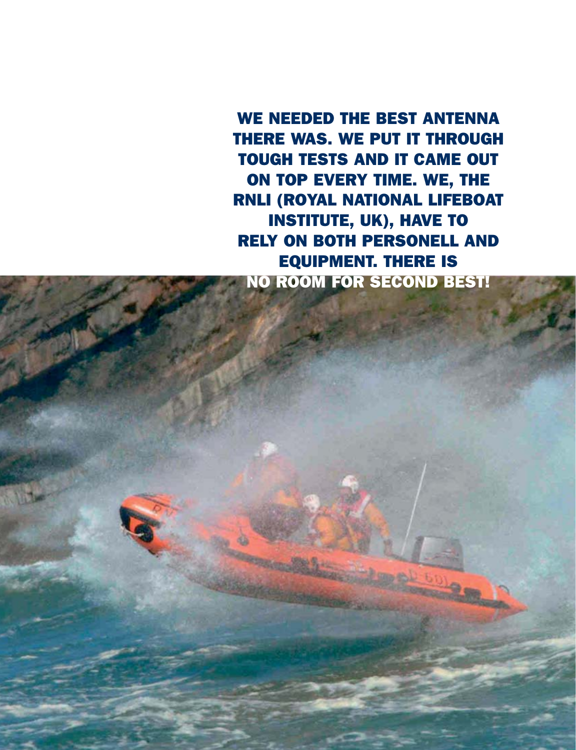WE NEEDED THE BEST ANTENNA THERE WAS. WE PUT IT THROUGH TOUGH TESTS AND IT CAME OUT ON TOP EVERY TIME. WE, THE RNLI (ROYAL NATIONAL LIFEBOAT INSTITUTE, UK), HAVE TO RELY ON BOTH PERSONELL AND EQUIPMENT. THERE IS NO ROOM FOR SECOND BEST!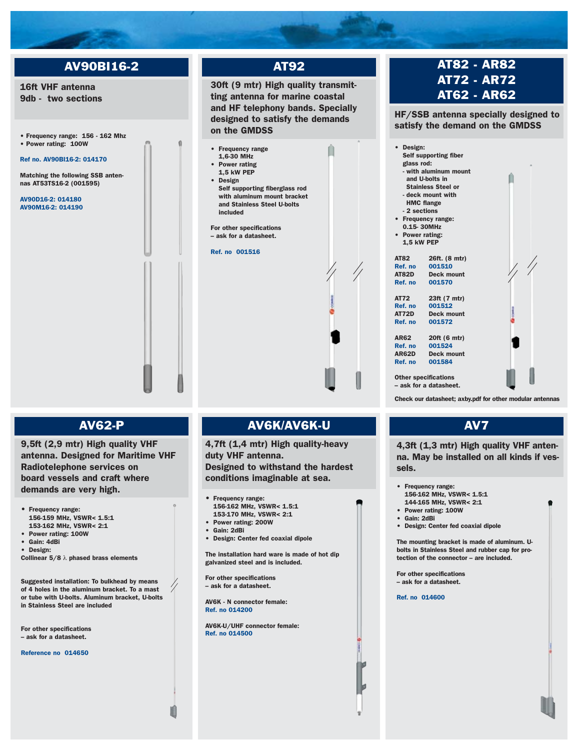### AV90BI16-2

### 16ft VHF antenna 9db - two sections

• Frequency range: 156 - 162 Mhz • Power rating: 100W

### Ref no. AV90BI16-2: 014170

Matching the following SSB antennas AT53TS16-2 (001595)

AV90D16-2: 014180 AV90M16-2: 014190

### 30ft (9 mtr) High quality transmitting antenna for marine coastal and HF telephony bands. Specially designed to satisfy the demands on the GMDSS • Frequency range 1,6-30 MHz Power rating 1,5 kW PEP **Design** Self supporting fiberglass rod with aluminum mount bracket and Stainless Steel U-bolts included For other specifications – ask for a datasheet. Ref. no 001516

AT92

### AV62-P

9,5ft (2,9 mtr) High quality VHF antenna. Designed for Maritime VHF Radiotelephone services on board vessels and craft where demands are very high.

- Frequency range: 156-159 MHz, VSWR< 1.5:1 153-162 MHz, VSWR< 2:1
- Power rating: 100W
- Gain: 4dBi • Design:
- Collinear  $5/8 \lambda$  phased brass elements

Suggested installation: To bulkhead by means of 4 holes in the aluminum bracket. To a mast or tube with U-bolts. Aluminum bracket, U-bolts in Stainless Steel are included

For other specifications – ask for a datasheet.

#### Reference no 014650

### AV6K/AV6K-U

4,7ft (1,4 mtr) High quality-heavy duty VHF antenna. Designed to withstand the hardest conditions imaginable at sea.

#### • Frequency range:

- 156-162 MHz, VSWR< 1.5:1
- 153-170 MHz, VSWR< 2:1
- Power rating: 200W
- Gain: 2dBi
- Design: Center fed coaxial dipole

The installation hard ware is made of hot dip galvanized steel and is included.

For other specifications – ask for a datasheet.

AV6K - N connector female: Ref. no 014200

AV6K-U/UHF connector female: Ref. no 014500

### AT82 - AR82 AT72 - AR72 AT62 - AR62

HF/SSB antenna specially designed to satisfy the demand on the GMDSS



Check our datasheet; axby.pdf for other modular antennas

### AV7

4,3ft (1,3 mtr) High quality VHF antenna. May be installed on all kinds if vessels.

- Frequency range:
- 156-162 MHz, VSWR< 1.5:1 144-165 MHz, VSWR< 2:1
- Power rating: 100W
- Gain: 2dBi
- 
- Design: Center fed coaxial dipole

The mounting bracket is made of aluminum. Ubolts in Stainless Steel and rubber cap for protection of the connector – are included.

For other specifications – ask for a datasheet.

Ref. no 014600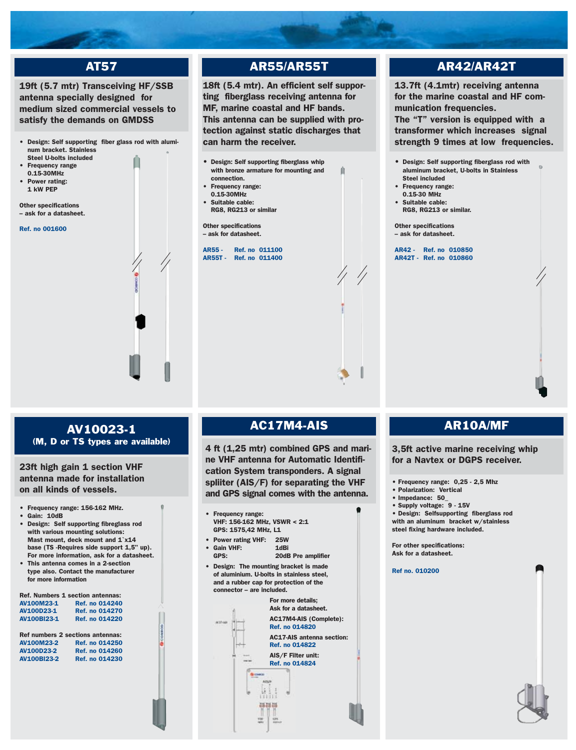### AT57

### 19ft (5.7 mtr) Transceiving HF/SSB antenna specially designed for medium sized commercial vessels to satisfy the demands on GMDSS

- Design: Self supporting fiber glass rod with aluminum bracket. Stainless Steel U-bolts included
- **Frequency range** 0.15-30MHz
- Power rating: 1 kW PEP

Other specifications – ask for a datasheet.

Ref. no 001600

### AR55/AR55T

18ft (5.4 mtr). An efficient self supporting fiberglass receiving antenna for MF, marine coastal and HF bands. This antenna can be supplied with protection against static discharges that can harm the receiver.

ń

- Design: Self supporting fiberglass whip with bronze armature for mounting and connection.
- Frequency range:
- 0.15-30MHz
- Suitable cable: RG8, RG213 or similar

Other specifications – ask for datasheet.

AR55 - Ref. no 011100 AR55T - Ref. no 011400

### AR42/AR42T

13.7ft (4.1mtr) receiving antenna for the marine coastal and HF communication frequencies. The "T" version is equipped with a

transformer which increases signal strength 9 times at low frequencies.

- Design: Self supporting fiberglass rod with aluminum bracket, U-bolts in Stainless Steel included
- Frequency range:
- 0.15-30 MHz
- Suitable cable: RG8, RG213 or similar.

Other specifications – ask for datasheet.

AR42 - Ref. no 010850 AR42T - Ref. no 010860

### AV10023-1 (M, D or TS types are available) 4 ft (1,25 mtr) combined GPS and mari-

23ft high gain 1 section VHF antenna made for installation on all kinds of vessels.

- Frequency range: 156-162 MHz.
- Gain: 10dB
- Design: Self supporting fibreglass rod with various mounting solutions: Mast mount, deck mount and 1`x14 base (TS -Requires side support 1,5" up). For more information, ask for a datasheet. • This antenna comes in a 2-section
- type also. Contact the manufacturer for more information

|                    | <b>Ref. Numbers 1 section antennas:</b> |
|--------------------|-----------------------------------------|
| AV100M23-1         | <b>Ref. no 014240</b>                   |
| AV100D23-1         | <b>Ref. no 014270</b>                   |
| AV100BI23-1        | <b>Ref. no 014220</b>                   |
|                    |                                         |
|                    | Ref numbers 2 sections antennas:        |
| AV100M23-2         | <b>Ref. no 014250</b>                   |
| AV100D23-2         | <b>Ref. no 014260</b>                   |
| <b>AV100BI23-2</b> | <b>Ref. no 014230</b>                   |
|                    |                                         |
|                    |                                         |
|                    |                                         |

### AC17M4-AIS

ne VHF antenna for Automatic Identification System transponders. A signal spliiter (AIS/F) for separating the VHF and GPS signal comes with the antenna.

- Frequency range: VHF: 156-162 MHz, VSWR < 2:1 GPS: 1575,42 MHz, L1
- Power rating VHF: 25W • Gain VHF:<br>GPS: 20dB Pre amplifier
- Design: The mounting bracket is made of aluminium. U-bolts in stainless steel, and a rubber cap for protection of the connector – are included.



### AR10A/MF

3,5ft active marine receiving whip for a Navtex or DGPS receiver.

- Frequency range: 0,25 2,5 Mhz
- Polarization: Vertical
- Impedance: 50\_
- Supply voltage: 9 15V

• Design: Selfsupporting fiberglass rod with an aluminum bracket w/stainless steel fixing hardware included.

For other specifications: Ask for a datasheet.

Ref no. 010200

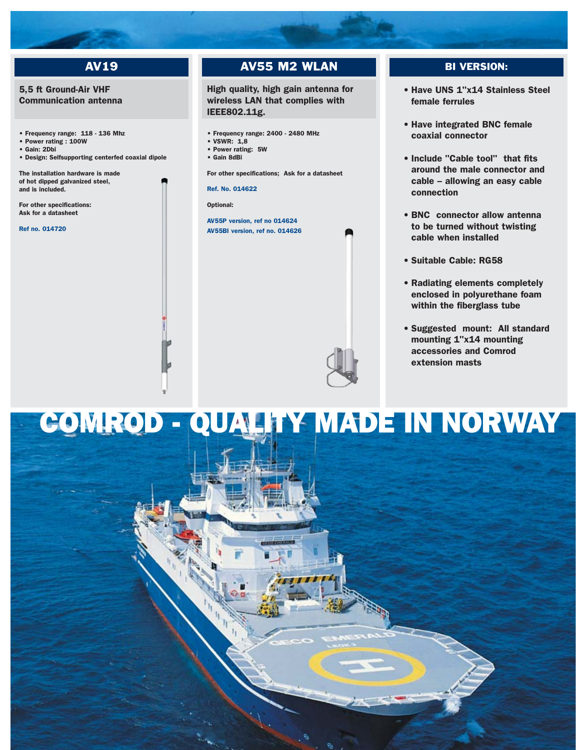### AV19

### 5,5 ft Ground-Air VHF Communication antenna

• Frequency range: 118 - 136 Mhz

- Power rating : 100W • Gain: 2Dbi
- 
- Design: Selfsupporting centerfed coaxial dipole

The installation hardware is made of hot dipped galvanized steel, and is included.

For other specifications: Ask for a datasheet

Ref no. 014720

### AV55 M2 WLAN

High quality, high gain antenna for wireless LAN that complies with IEEE802.11g.

- Frequency range: 2400 2480 MHz
- $\cdot$  VSWR $\cdot$  1.8
- Power rating: 5W
- Gain 8dBi

For other specifications; Ask for a datasheet

Ref. No. 014622

Optional:

AV55P version, ref no 014624 AV55BI version, ref no. 014626

### BI VERSION:

- Have UNS 1"x14 Stainless Steel female ferrules
- Have integrated BNC female coaxial connector
- Include "Cable tool" that fits around the male connector and cable – allowing an easy cable connection
- BNC connector allow antenna to be turned without twisting cable when installed
- Suitable Cable: RG58
- Radiating elements completely enclosed in polyurethane foam within the fiberglass tube
- Suggested mount: All standard mounting 1"x14 mounting accessories and Comrod extension masts

### COMROD - QUALITY MADE IN NORWAY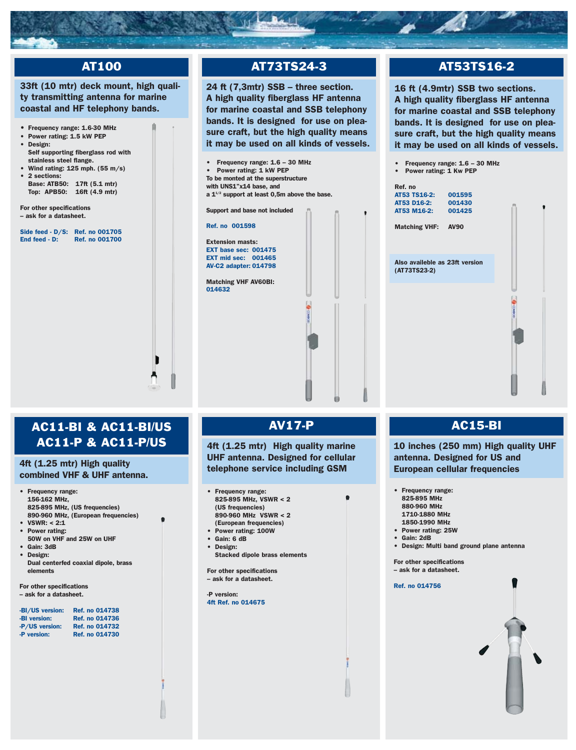

### AT100

### 33ft (10 mtr) deck mount, high quality transmitting antenna for marine coastal and HF telephony bands.

- Frequency range: 1.6-30 MHz
- Power rating: 1.5 kW PEP • Design:
- Self supporting fiberglass rod with stainless steel flange.
- Wind rating:  $125$  mph. (55 m/s) • 2 sections: Base: ATB50: 17ft (5.1 mtr)
- Top: APB50: 16ft (4.9 mtr)

For other specifications – ask for a datasheet.

Side feed - D/S: Ref. no 001705<br>End feed - D: Ref. no 001700 Ref. no 001700



### AT73TS24-3

24 ft (7,3mtr) SSB – three section. A high quality fiberglass HF antenna for marine coastal and SSB telephony bands. It is designed for use on pleasure craft, but the high quality means it may be used on all kinds of vessels.



### AT53TS16-2

16 ft (4.9mtr) SSB two sections. A high quality fiberglass HF antenna for marine coastal and SSB telephony bands. It is designed for use on pleasure craft, but the high quality means it may be used on all kinds of vessels.

- Frequency range: 1.6 30 MHz
- Power rating: 1 Kw PEP

| Ref. no<br>AT53 TS16-2: 001595<br>AT53 D16-2:<br>AT53 M16-2:<br><b>Matching VHF: AV90</b> | 001430<br>001425 |   |  |
|-------------------------------------------------------------------------------------------|------------------|---|--|
| Also availeble as 23ft version<br>(AT73TS23-2)                                            |                  |   |  |
|                                                                                           |                  | š |  |

### AC11-BI & AC11-BI/US AC11-P & AC11-P/US

### 4ft (1.25 mtr) High quality combined VHF & UHF antenna.

- Frequency range: 156-162 MHz, 825-895 MHz, (US frequencies) 890-960 MHz, (European frequencies)
- $\cdot$  VSWR: < 2:1
- Power rating:
- 50W on VHF and 25W on UHF • Gain: 3dB
- Design:
- Dual centerfed coaxial dipole, brass elements

For other specifications – ask for a datasheet.

| -BI/US version: | <b>Ref. no 014738</b> |
|-----------------|-----------------------|
| -BI version:    | <b>Ref. no 014736</b> |
| -P/US version:  | <b>Ref. no 014732</b> |
| -P version:     | Ref. no 014730        |

### AV17-P

4ft (1.25 mtr) High quality marine UHF antenna. Designed for cellular telephone service including GSM

- Frequency range:  $825.895$  MHz, VSWR  $< 2$ (US frequencies) 890-960 MHz VSWR < 2
- (European frequencies)
- Power rating: 100W
- Gain: 6 dB • Design:
- Stacked dipole brass elements

For other specifications – ask for a datasheet.

-P version: 4ft Ref. no 014675

### AC15-BI

10 inches (250 mm) High quality UHF antenna. Designed for US and European cellular frequencies

- Frequency range: 825-895 MHz 880-960 MHz 1710-1880 MHz
	- 1850-1990 MHz
- Power rating: 25W
- Gain: 2dB
- Design: Multi band ground plane antenna

For other specifications – ask for a datasheet.

Ref. no 014756

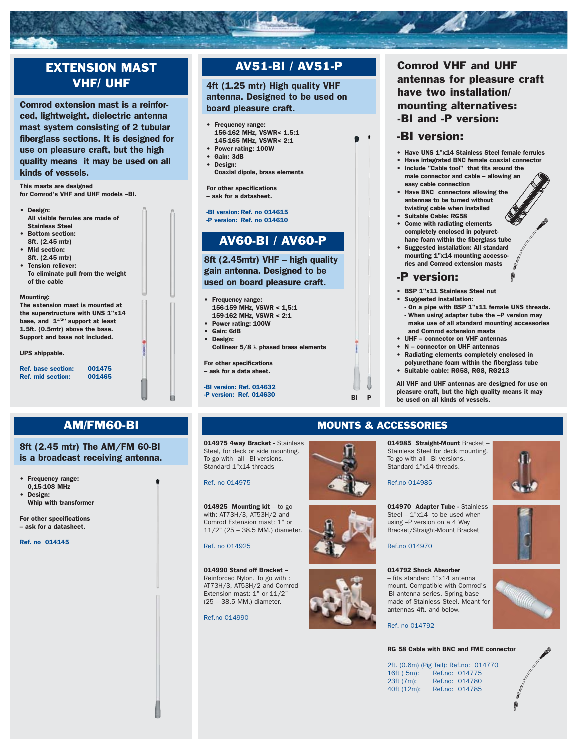

### AM/FM60-BI MOUNTS & ACCESSORIES

8ft (2.45 mtr) The AM/FM 60-BI is a broadcast receiving antenna.

• Frequency range:

0,15-108 MHz • Design: Whip with transformer

For other specifications – ask for a datasheet.

Ref. no 014145

### 014975 4way Bracket - Stainless Steel, for deck or side mounting. To go with all –BI versions. Standard 1"x14 threads

Ref. no 014975

014925 Mounting kit – to go with: AT73H/3, AT53H/2 and Comrod Extension mast: 1" or 11/2" (25 – 38.5 MM.) diameter.

Ref. no 014925

014990 Stand off Bracket – Reinforced Nylon. To go with : AT73H/3, AT53H/2 and Comrod Extension mast: 1" or 11/2" (25 – 38.5 MM.) diameter.

Ref.no 014990

### 014985 Straight-Mount Bracket –

Stainless Steel for deck mounting. To go with all –BI versions. Standard 1"x14 threads.

Ref.no 014985

014970 Adapter Tube - Stainless Steel –  $1"x14$  to be used when using –P version on a 4 Way Bracket/Straight-Mount Bracket

Ref.no 014970

#### 014792 Shock Absorber – fits standard 1"x14 antenna mount. Compatible with Comrod's -BI antenna series. Spring base made of Stainless Steel. Meant for antennas 4ft. and below.

Ref. no 014792

### RG 58 Cable with BNC and FME connector

2ft. (0.6m) (Pig Tail): Ref.no: 014770 16ft ( 5m): Ref.no: 014775<br>23ft (7m): Ref.no: 014780 23ft (7m): Ref.no: 014780<br>40ft (12m): Ref.no: 014785 Ref.no: 014785











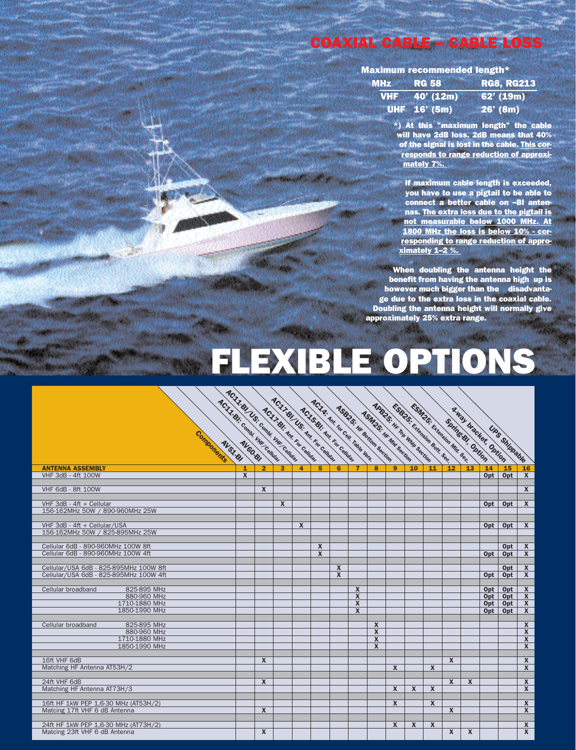### **COAXIAL CABLE – CABLE LOSS**

Maximum recommended length\*

| <b>MHz</b> RG 58 |                        |          | <b>RG8, RG213</b> |
|------------------|------------------------|----------|-------------------|
|                  | <b>VHF</b> $40'$ (12m) |          | 62' (19m)         |
|                  | UHF 16' (5m)           | 26' (8m) |                   |

\*) At this "maximum length" the cable will have 2dB loss. 2dB means that 40% of the signal is lost in the cable. This corresponds to range reduction of approximately 7%.

If maximum cable length is exceeded, you have to use a pigtail to be able to connect a better cable on –BI antennas. The extra loss due to the pigtail is not measurable below 1000 MHz. At 1800 MHz the loss is below 10% - corresponding to range reduction of approximately 1–2 %.

When doubling the antenna height the benefit from having the antenna high up is however much bigger than the disadvantage due to the extra loss in the coaxial cable. Doubling the antenna height will normally give approximately 25% extra range.

## FLEXIBLE OPTIONS

| ACLIBIC CORNEL UNICOMMENT<br>Components                               | AC-LL-BI US: Comm. Wir. Cemmer |                  |                         | AC.17 BI US: An Eq. College<br>ACJ I-BI: Ant. For Collins |                         | AC.I.S.BI: Ant. Top College | ACIA: AN E EN CON TOMBE VER<br><b>ASG25: In the GRIEGIN SECTION</b> | <b>AlabelS: In the Tail Mills Section 1990</b><br><b>ASIN2S: IK Mill Section</b> |                         | <b>Children Call Manuel Bone Beer</b><br>ESM25: Education Mil . Sec. 1 |                  |              | <b>Springs Brief</b> |              | <b>Rual Unacles Dution</b><br>Uns Shippaule |                                                    |
|-----------------------------------------------------------------------|--------------------------------|------------------|-------------------------|-----------------------------------------------------------|-------------------------|-----------------------------|---------------------------------------------------------------------|----------------------------------------------------------------------------------|-------------------------|------------------------------------------------------------------------|------------------|--------------|----------------------|--------------|---------------------------------------------|----------------------------------------------------|
| <b>ANTENNA ASSEMBLY</b>                                               |                                | $\overline{2}$   | $\overline{\mathbf{3}}$ | $\overline{4}$                                            | 5                       | 6                           | $\overline{7}$                                                      | 8                                                                                | 9                       | 10                                                                     | 11               | 12           | 13                   | 14           | 15                                          | 16                                                 |
| <b>VHF 3dB - 4ft 100W</b>                                             | $\boldsymbol{\mathsf{X}}$      |                  |                         |                                                           |                         |                             |                                                                     |                                                                                  |                         |                                                                        |                  |              |                      | Opt          | Opt                                         | $\mathbf{x}$                                       |
| <b>VHF 6dB - 8ft 100W</b>                                             |                                | $\mathbf x$      |                         |                                                           |                         |                             |                                                                     |                                                                                  |                         |                                                                        |                  |              |                      |              |                                             | $\mathbf{x}$                                       |
| VHF 3dB - 4ft + Cellular                                              |                                |                  | $\mathbf x$             |                                                           |                         |                             |                                                                     |                                                                                  |                         |                                                                        |                  |              |                      | Opt          | Opt                                         | $\overline{\mathbf{x}}$                            |
| 156-162MHz 50W / 890-960MHz 25W                                       |                                |                  |                         |                                                           |                         |                             |                                                                     |                                                                                  |                         |                                                                        |                  |              |                      |              |                                             |                                                    |
| VHF 3dB - 4ft + Cellular/USA                                          |                                |                  |                         | $\overline{\mathbf{x}}$                                   |                         |                             |                                                                     |                                                                                  |                         |                                                                        |                  |              |                      | Opt          | Opt                                         | $\overline{\mathbf{x}}$                            |
| 156-162MHz 50W / 825-895MHz 25W                                       |                                |                  |                         |                                                           |                         |                             |                                                                     |                                                                                  |                         |                                                                        |                  |              |                      |              |                                             |                                                    |
| Cellular 6dB - 890-960MHz 100W 8ft                                    |                                |                  |                         |                                                           | $\overline{\mathbf{x}}$ |                             |                                                                     |                                                                                  |                         |                                                                        |                  |              |                      |              | Opt                                         | $\overline{\mathbf{x}}$                            |
| Cellular 6dB - 890-960MHz 100W 4ft                                    |                                |                  |                         |                                                           | $\overline{\mathbf{x}}$ |                             |                                                                     |                                                                                  |                         |                                                                        |                  |              |                      | Opt          | Opt                                         | $\overline{\mathbf{x}}$                            |
| Cellular/USA 6dB - 825-895MHz 100W 8ft                                |                                |                  |                         |                                                           |                         | $\mathbf{x}$                |                                                                     |                                                                                  |                         |                                                                        |                  |              |                      |              | Opt                                         | $\mathbf{X}$                                       |
| Cellular/USA 6dB - 825-895MHz 100W 4ft                                |                                |                  |                         |                                                           |                         | $\mathbf{x}$                |                                                                     |                                                                                  |                         |                                                                        |                  |              |                      | Opt          | Opt                                         | $\overline{\mathbf{x}}$                            |
|                                                                       |                                |                  |                         |                                                           |                         |                             |                                                                     |                                                                                  |                         |                                                                        |                  |              |                      |              |                                             |                                                    |
| 825-895 MHz<br>Cellular broadband                                     |                                |                  |                         |                                                           |                         |                             | $\overline{\mathbf{x}}$                                             |                                                                                  |                         |                                                                        |                  |              |                      | 0pt          | Opt                                         | $\overline{\mathbf{X}}$                            |
| 880-960 MHz<br>1710-1880 MHz                                          |                                |                  |                         |                                                           |                         |                             | $\overline{\mathbf{x}}$<br>$\overline{\mathbf{x}}$                  |                                                                                  |                         |                                                                        |                  |              |                      | Opt  <br>Opt | Opt<br>Opt                                  | $\overline{\mathbf{x}}$<br>$\overline{\mathbf{x}}$ |
| 1850-1990 MHz                                                         |                                |                  |                         |                                                           |                         |                             | $\overline{\mathbf{x}}$                                             |                                                                                  |                         |                                                                        |                  |              |                      | Opt          | Opt                                         | $\overline{\mathbf{x}}$                            |
|                                                                       |                                |                  |                         |                                                           |                         |                             |                                                                     |                                                                                  |                         |                                                                        |                  |              |                      |              |                                             |                                                    |
| 825-895 MHz<br>Cellular broadband<br>880-960 MHz                      |                                |                  |                         |                                                           |                         |                             |                                                                     | $\mathbf{x}$<br>$\overline{\mathbf{x}}$                                          |                         |                                                                        |                  |              |                      |              |                                             | $\overline{\mathbf{x}}$<br>$\overline{\mathbf{x}}$ |
| 1710-1880 MHz                                                         |                                |                  |                         |                                                           |                         |                             |                                                                     | $\boldsymbol{x}$                                                                 |                         |                                                                        |                  |              |                      |              |                                             | $\overline{\mathbf{x}}$                            |
| 1850-1990 MHz                                                         |                                |                  |                         |                                                           |                         |                             |                                                                     | $\mathbf{x}$                                                                     |                         |                                                                        |                  |              |                      |              |                                             | $\overline{\mathbf{x}}$                            |
|                                                                       |                                |                  |                         |                                                           |                         |                             |                                                                     |                                                                                  |                         |                                                                        |                  |              |                      |              |                                             |                                                    |
| 16ft VHF 6dB<br>Matching HF Antenna AT53H/2                           |                                | $\boldsymbol{x}$ |                         |                                                           |                         |                             |                                                                     |                                                                                  | $\boldsymbol{x}$        |                                                                        | $\boldsymbol{X}$ | X            |                      |              |                                             | $\overline{\mathbf{x}}$<br>$\overline{\mathbf{x}}$ |
|                                                                       |                                |                  |                         |                                                           |                         |                             |                                                                     |                                                                                  |                         |                                                                        |                  |              |                      |              |                                             |                                                    |
| 24ft VHF 6dB                                                          |                                | $\boldsymbol{x}$ |                         |                                                           |                         |                             |                                                                     |                                                                                  |                         |                                                                        |                  | $\mathbf{x}$ | $\mathbf x$          |              |                                             | $\overline{\mathbf{x}}$                            |
| Matching HF Antenna AT73H/3                                           |                                |                  |                         |                                                           |                         |                             |                                                                     |                                                                                  | $\overline{\mathbf{x}}$ | $\boldsymbol{x}$                                                       | $\boldsymbol{X}$ |              |                      |              |                                             | $\overline{\mathbf{x}}$                            |
| 16ft HF 1kW PEP 1,6-30 MHz (AT53H/2)                                  |                                |                  |                         |                                                           |                         |                             |                                                                     |                                                                                  | $\boldsymbol{x}$        |                                                                        | X                |              |                      |              |                                             | $\mathbf{x}$                                       |
| Matcing 17ft VHF 6 dB Antenna                                         |                                | $\boldsymbol{x}$ |                         |                                                           |                         |                             |                                                                     |                                                                                  |                         |                                                                        |                  | $\mathbf{x}$ |                      |              |                                             | $\overline{\mathbf{x}}$                            |
|                                                                       |                                |                  |                         |                                                           |                         |                             |                                                                     |                                                                                  |                         |                                                                        |                  |              |                      |              |                                             |                                                    |
| 24ft HF 1kW PEP 1,6-30 MHz (AT73H/2)<br>Matcing 23ft VHF 6 dB Antenna |                                | $\boldsymbol{x}$ |                         |                                                           |                         |                             |                                                                     |                                                                                  | $\boldsymbol{x}$        | X                                                                      | X                | X            | X                    |              |                                             | $\mathsf{X}$<br>$\overline{\mathbf{x}}$            |
|                                                                       |                                |                  |                         |                                                           |                         |                             |                                                                     |                                                                                  |                         |                                                                        |                  |              |                      |              |                                             |                                                    |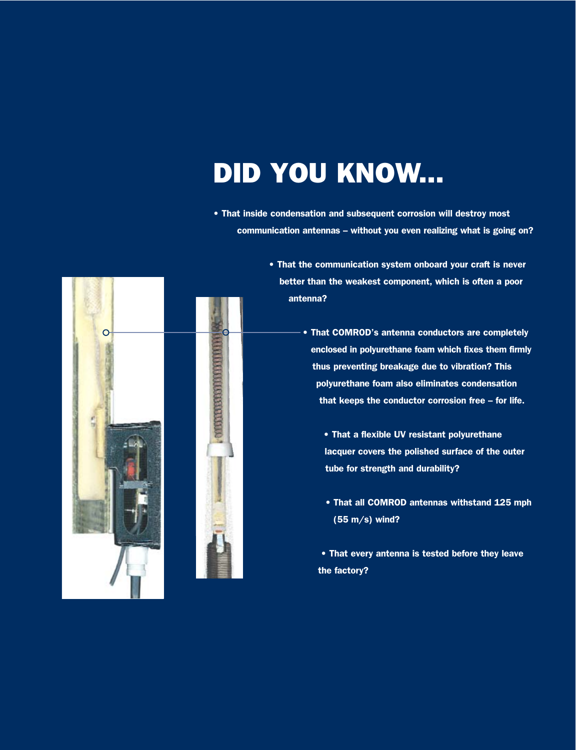### DID YOU KNOW...

• That inside condensation and subsequent corrosion will destroy most communication antennas – without you even realizing what is going on?



C

**PRODUCTIONS OF PRODUCT** 

- That the communication system onboard your craft is never better than the weakest component, which is often a poor antenna?
	- That COMROD's antenna conductors are completely enclosed in polyurethane foam which fixes them firmly thus preventing breakage due to vibration? This polyurethane foam also eliminates condensation that keeps the conductor corrosion free – for life.
		- That a flexible UV resistant polyurethane lacquer covers the polished surface of the outer tube for strength and durability?
		- That all COMROD antennas withstand 125 mph (55 m/s) wind?
		- That every antenna is tested before they leave the factory?